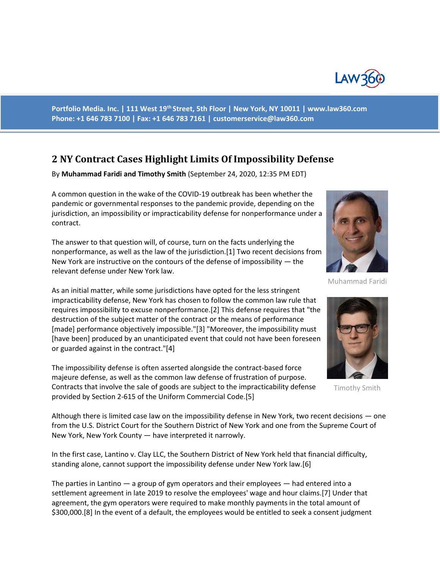

**Portfolio Media. Inc. | 111 West 19th Street, 5th Floor | New York, NY 10011 | www.law360.com Phone: +1 646 783 7100 | Fax: +1 646 783 7161 | customerservice@law360.com**

## **2 NY Contract Cases Highlight Limits Of Impossibility Defense**

By **Muhammad Faridi and Timothy Smith** (September 24, 2020, 12:35 PM EDT)

A common question in the wake of the COVID-19 outbreak has been whether the pandemic or governmental responses to the pandemic provide, depending on the jurisdiction, an impossibility or impracticability defense for nonperformance under a contract.

The answer to that question will, of course, turn on the facts underlying the nonperformance, as well as the law of the jurisdiction.[1] Two recent decisions from New York are instructive on the contours of the defense of impossibility — the relevant defense under New York law.

As an initial matter, while some jurisdictions have opted for the less stringent impracticability defense, New York has chosen to follow the common law rule that requires impossibility to excuse nonperformance.[2] This defense requires that "the destruction of the subject matter of the contract or the means of performance [made] performance objectively impossible."[3] "Moreover, the impossibility must [have been] produced by an unanticipated event that could not have been foreseen or guarded against in the contract."[4]

The impossibility defense is often asserted alongside the contract-based force majeure defense, as well as the common law defense of frustration of purpose. Contracts that involve the sale of goods are subject to the impracticability defense provided by Section 2-615 of the Uniform Commercial Code.[5]

Although there is limited case law on the impossibility defense in New York, two recent decisions — one from the U.S. District Court for the Southern District of New York and one from the Supreme Court of New York, New York County — have interpreted it narrowly.

In the first case, Lantino v. Clay LLC, the Southern District of New York held that financial difficulty, standing alone, cannot support the impossibility defense under New York law.[6]

The parties in Lantino — a group of gym operators and their employees — had entered into a settlement agreement in late 2019 to resolve the employees' wage and hour claims.[7] Under that agreement, the gym operators were required to make monthly payments in the total amount of \$300,000.[8] In the event of a default, the employees would be entitled to seek a consent judgment



Muhammad Faridi



Timothy Smith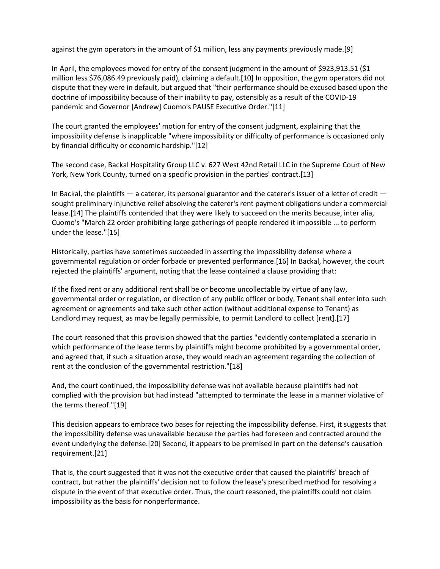against the gym operators in the amount of \$1 million, less any payments previously made.[9]

In April, the employees moved for entry of the consent judgment in the amount of \$923,913.51 (\$1 million less \$76,086.49 previously paid), claiming a default.[10] In opposition, the gym operators did not dispute that they were in default, but argued that "their performance should be excused based upon the doctrine of impossibility because of their inability to pay, ostensibly as a result of the COVID-19 pandemic and Governor [Andrew] Cuomo's PAUSE Executive Order."[11]

The court granted the employees' motion for entry of the consent judgment, explaining that the impossibility defense is inapplicable "where impossibility or difficulty of performance is occasioned only by financial difficulty or economic hardship."[12]

The second case, Backal Hospitality Group LLC v. 627 West 42nd Retail LLC in the Supreme Court of New York, New York County, turned on a specific provision in the parties' contract.[13]

In Backal, the plaintiffs — a caterer, its personal guarantor and the caterer's issuer of a letter of credit sought preliminary injunctive relief absolving the caterer's rent payment obligations under a commercial lease.[14] The plaintiffs contended that they were likely to succeed on the merits because, inter alia, Cuomo's "March 22 order prohibiting large gatherings of people rendered it impossible ... to perform under the lease."[15]

Historically, parties have sometimes succeeded in asserting the impossibility defense where a governmental regulation or order forbade or prevented performance.[16] In Backal, however, the court rejected the plaintiffs' argument, noting that the lease contained a clause providing that:

If the fixed rent or any additional rent shall be or become uncollectable by virtue of any law, governmental order or regulation, or direction of any public officer or body, Tenant shall enter into such agreement or agreements and take such other action (without additional expense to Tenant) as Landlord may request, as may be legally permissible, to permit Landlord to collect [rent].[17]

The court reasoned that this provision showed that the parties "evidently contemplated a scenario in which performance of the lease terms by plaintiffs might become prohibited by a governmental order, and agreed that, if such a situation arose, they would reach an agreement regarding the collection of rent at the conclusion of the governmental restriction."[18]

And, the court continued, the impossibility defense was not available because plaintiffs had not complied with the provision but had instead "attempted to terminate the lease in a manner violative of the terms thereof."[19]

This decision appears to embrace two bases for rejecting the impossibility defense. First, it suggests that the impossibility defense was unavailable because the parties had foreseen and contracted around the event underlying the defense.[20] Second, it appears to be premised in part on the defense's causation requirement.[21]

That is, the court suggested that it was not the executive order that caused the plaintiffs' breach of contract, but rather the plaintiffs' decision not to follow the lease's prescribed method for resolving a dispute in the event of that executive order. Thus, the court reasoned, the plaintiffs could not claim impossibility as the basis for nonperformance.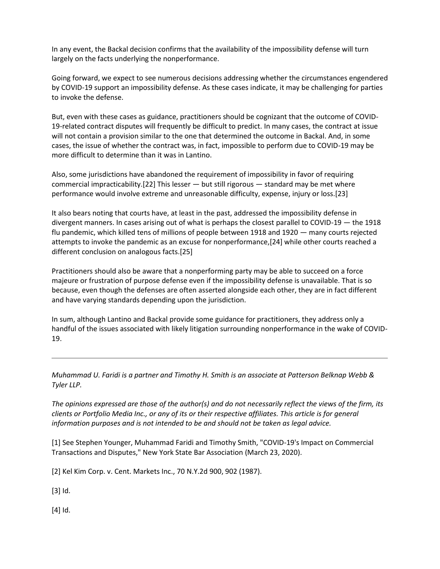In any event, the Backal decision confirms that the availability of the impossibility defense will turn largely on the facts underlying the nonperformance.

Going forward, we expect to see numerous decisions addressing whether the circumstances engendered by COVID-19 support an impossibility defense. As these cases indicate, it may be challenging for parties to invoke the defense.

But, even with these cases as guidance, practitioners should be cognizant that the outcome of COVID-19-related contract disputes will frequently be difficult to predict. In many cases, the contract at issue will not contain a provision similar to the one that determined the outcome in Backal. And, in some cases, the issue of whether the contract was, in fact, impossible to perform due to COVID-19 may be more difficult to determine than it was in Lantino.

Also, some jurisdictions have abandoned the requirement of impossibility in favor of requiring commercial impracticability.[22] This lesser — but still rigorous — standard may be met where performance would involve extreme and unreasonable difficulty, expense, injury or loss.[23]

It also bears noting that courts have, at least in the past, addressed the impossibility defense in divergent manners. In cases arising out of what is perhaps the closest parallel to COVID-19 — the 1918 flu pandemic, which killed tens of millions of people between 1918 and 1920 — many courts rejected attempts to invoke the pandemic as an excuse for nonperformance,[24] while other courts reached a different conclusion on analogous facts.[25]

Practitioners should also be aware that a nonperforming party may be able to succeed on a force majeure or frustration of purpose defense even if the impossibility defense is unavailable. That is so because, even though the defenses are often asserted alongside each other, they are in fact different and have varying standards depending upon the jurisdiction.

In sum, although Lantino and Backal provide some guidance for practitioners, they address only a handful of the issues associated with likely litigation surrounding nonperformance in the wake of COVID-19.

*Muhammad U. Faridi is a partner and Timothy H. Smith is an associate at Patterson Belknap Webb & Tyler LLP.*

*The opinions expressed are those of the author(s) and do not necessarily reflect the views of the firm, its clients or Portfolio Media Inc., or any of its or their respective affiliates. This article is for general information purposes and is not intended to be and should not be taken as legal advice.*

[1] See Stephen Younger, Muhammad Faridi and Timothy Smith, "COVID-19's Impact on Commercial Transactions and Disputes," New York State Bar Association (March 23, 2020).

[2] Kel Kim Corp. v. Cent. Markets Inc., 70 N.Y.2d 900, 902 (1987).

[3] Id.

[4] Id.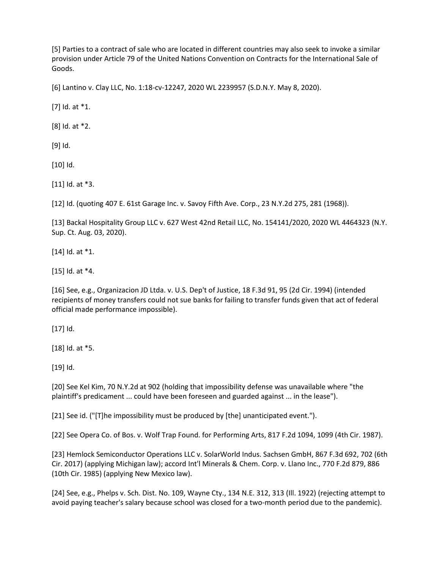[5] Parties to a contract of sale who are located in different countries may also seek to invoke a similar provision under Article 79 of the United Nations Convention on Contracts for the International Sale of Goods.

[6] Lantino v. Clay LLC, No. 1:18-cv-12247, 2020 WL 2239957 (S.D.N.Y. May 8, 2020).

[7] Id. at \*1.

[8] Id. at \*2.

[9] Id.

[10] Id.

[11] Id. at \*3.

[12] Id. (quoting 407 E. 61st Garage Inc. v. Savoy Fifth Ave. Corp., 23 N.Y.2d 275, 281 (1968)).

[13] Backal Hospitality Group LLC v. 627 West 42nd Retail LLC, No. 154141/2020, 2020 WL 4464323 (N.Y. Sup. Ct. Aug. 03, 2020).

[14] Id. at \*1.

[15] Id. at \*4.

[16] See, e.g., Organizacion JD Ltda. v. U.S. Dep't of Justice, 18 F.3d 91, 95 (2d Cir. 1994) (intended recipients of money transfers could not sue banks for failing to transfer funds given that act of federal official made performance impossible).

[17] Id.

[18] Id. at \*5.

[19] Id.

[20] See Kel Kim, 70 N.Y.2d at 902 (holding that impossibility defense was unavailable where "the plaintiff's predicament ... could have been foreseen and guarded against ... in the lease").

[21] See id. ("[T]he impossibility must be produced by [the] unanticipated event.").

[22] See Opera Co. of Bos. v. Wolf Trap Found. for Performing Arts, 817 F.2d 1094, 1099 (4th Cir. 1987).

[23] Hemlock Semiconductor Operations LLC v. SolarWorld Indus. Sachsen GmbH, 867 F.3d 692, 702 (6th Cir. 2017) (applying Michigan law); accord Int'l Minerals & Chem. Corp. v. Llano Inc., 770 F.2d 879, 886 (10th Cir. 1985) (applying New Mexico law).

[24] See, e.g., Phelps v. Sch. Dist. No. 109, Wayne Cty., 134 N.E. 312, 313 (Ill. 1922) (rejecting attempt to avoid paying teacher's salary because school was closed for a two-month period due to the pandemic).